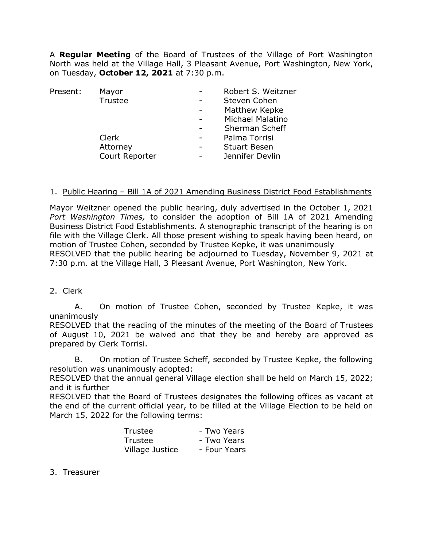A **Regular Meeting** of the Board of Trustees of the Village of Port Washington North was held at the Village Hall, 3 Pleasant Avenue, Port Washington, New York, on Tuesday, **October 12, 2021** at 7:30 p.m.

| Present: | Mayor          | Robert S. Weitzner      |  |
|----------|----------------|-------------------------|--|
|          | Trustee        | Steven Cohen            |  |
|          |                | Matthew Kepke           |  |
|          |                | <b>Michael Malatino</b> |  |
|          |                | Sherman Scheff          |  |
|          | Clerk          | Palma Torrisi           |  |
|          | Attorney       | <b>Stuart Besen</b>     |  |
|          | Court Reporter | Jennifer Devlin         |  |
|          |                |                         |  |

#### 1. Public Hearing – Bill 1A of 2021 Amending Business District Food Establishments

Mayor Weitzner opened the public hearing, duly advertised in the October 1, 2021 *Port Washington Times,* to consider the adoption of Bill 1A of 2021 Amending Business District Food Establishments. A stenographic transcript of the hearing is on file with the Village Clerk. All those present wishing to speak having been heard, on motion of Trustee Cohen, seconded by Trustee Kepke, it was unanimously RESOLVED that the public hearing be adjourned to Tuesday, November 9, 2021 at 7:30 p.m. at the Village Hall, 3 Pleasant Avenue, Port Washington, New York.

2. Clerk

A. On motion of Trustee Cohen, seconded by Trustee Kepke, it was unanimously

RESOLVED that the reading of the minutes of the meeting of the Board of Trustees of August 10, 2021 be waived and that they be and hereby are approved as prepared by Clerk Torrisi.

B. On motion of Trustee Scheff, seconded by Trustee Kepke, the following resolution was unanimously adopted:

RESOLVED that the annual general Village election shall be held on March 15, 2022; and it is further

RESOLVED that the Board of Trustees designates the following offices as vacant at the end of the current official year, to be filled at the Village Election to be held on March 15, 2022 for the following terms:

| Trustee         | - Two Years  |
|-----------------|--------------|
| Trustee         | - Two Years  |
| Village Justice | - Four Years |

3. Treasurer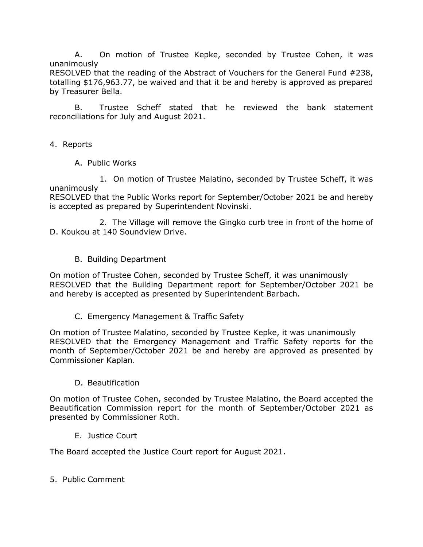A. On motion of Trustee Kepke, seconded by Trustee Cohen, it was unanimously

RESOLVED that the reading of the Abstract of Vouchers for the General Fund #238, totalling \$176,963.77, be waived and that it be and hereby is approved as prepared by Treasurer Bella.

B. Trustee Scheff stated that he reviewed the bank statement reconciliations for July and August 2021.

- 4. Reports
	- A. Public Works

1. On motion of Trustee Malatino, seconded by Trustee Scheff, it was unanimously

RESOLVED that the Public Works report for September/October 2021 be and hereby is accepted as prepared by Superintendent Novinski.

2. The Village will remove the Gingko curb tree in front of the home of D. Koukou at 140 Soundview Drive.

B. Building Department

On motion of Trustee Cohen, seconded by Trustee Scheff, it was unanimously RESOLVED that the Building Department report for September/October 2021 be and hereby is accepted as presented by Superintendent Barbach.

C. Emergency Management & Traffic Safety

On motion of Trustee Malatino, seconded by Trustee Kepke, it was unanimously RESOLVED that the Emergency Management and Traffic Safety reports for the month of September/October 2021 be and hereby are approved as presented by Commissioner Kaplan.

## D. Beautification

On motion of Trustee Cohen, seconded by Trustee Malatino, the Board accepted the Beautification Commission report for the month of September/October 2021 as presented by Commissioner Roth.

E. Justice Court

The Board accepted the Justice Court report for August 2021.

5. Public Comment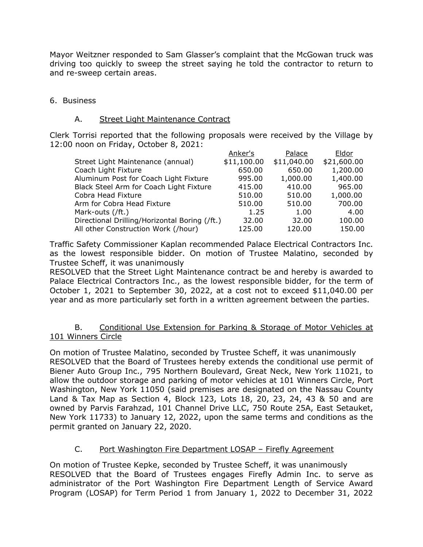Mayor Weitzner responded to Sam Glasser's complaint that the McGowan truck was driving too quickly to sweep the street saying he told the contractor to return to and re-sweep certain areas.

### 6. Business

#### A. Street Light Maintenance Contract

Clerk Torrisi reported that the following proposals were received by the Village by 12:00 noon on Friday, October 8, 2021:

| Anker's     | Palace      | Eldor       |
|-------------|-------------|-------------|
| \$11,100.00 | \$11,040.00 | \$21,600.00 |
| 650.00      | 650.00      | 1,200.00    |
| 995.00      | 1,000.00    | 1,400.00    |
| 415.00      | 410.00      | 965.00      |
| 510.00      | 510.00      | 1,000.00    |
| 510.00      | 510.00      | 700.00      |
| 1.25        | 1.00        | 4.00        |
| 32.00       | 32.00       | 100.00      |
| 125.00      | 120.00      | 150.00      |
|             |             |             |

Traffic Safety Commissioner Kaplan recommended Palace Electrical Contractors Inc. as the lowest responsible bidder. On motion of Trustee Malatino, seconded by Trustee Scheff, it was unanimously

RESOLVED that the Street Light Maintenance contract be and hereby is awarded to Palace Electrical Contractors Inc., as the lowest responsible bidder, for the term of October 1, 2021 to September 30, 2022, at a cost not to exceed \$11,040.00 per year and as more particularly set forth in a written agreement between the parties.

#### B. Conditional Use Extension for Parking & Storage of Motor Vehicles at 101 Winners Circle

On motion of Trustee Malatino, seconded by Trustee Scheff, it was unanimously RESOLVED that the Board of Trustees hereby extends the conditional use permit of Biener Auto Group Inc., 795 Northern Boulevard, Great Neck, New York 11021, to allow the outdoor storage and parking of motor vehicles at 101 Winners Circle, Port Washington, New York 11050 (said premises are designated on the Nassau County Land & Tax Map as Section 4, Block 123, Lots 18, 20, 23, 24, 43 & 50 and are owned by Parvis Farahzad, 101 Channel Drive LLC, 750 Route 25A, East Setauket, New York 11733) to January 12, 2022, upon the same terms and conditions as the permit granted on January 22, 2020.

## C. Port Washington Fire Department LOSAP – Firefly Agreement

On motion of Trustee Kepke, seconded by Trustee Scheff, it was unanimously RESOLVED that the Board of Trustees engages Firefly Admin Inc. to serve as administrator of the Port Washington Fire Department Length of Service Award Program (LOSAP) for Term Period 1 from January 1, 2022 to December 31, 2022